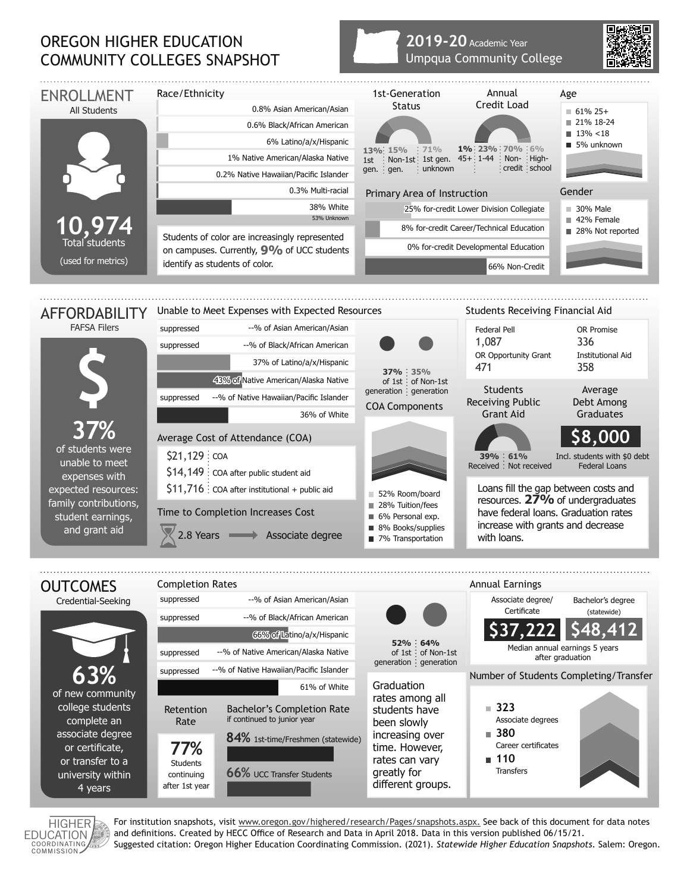## OREGON HIGHER EDUCATION COMMUNITY COLLEGES SNAPSHOT

## **2019-20** Academic Year Umpqua Community College





For institution snapshots, visit www.oregon.gov/highered/research/Pages/snapshots.aspx. See back of this document for data notes and definitions. Created by HECC Office of Research and Data in April 2018. Data in this version published 06/15/21. Suggested citation: Oregon Higher Education Coordinating Commission. (2021). *Statewide Higher Education Snapshots*. Salem: Oregon.